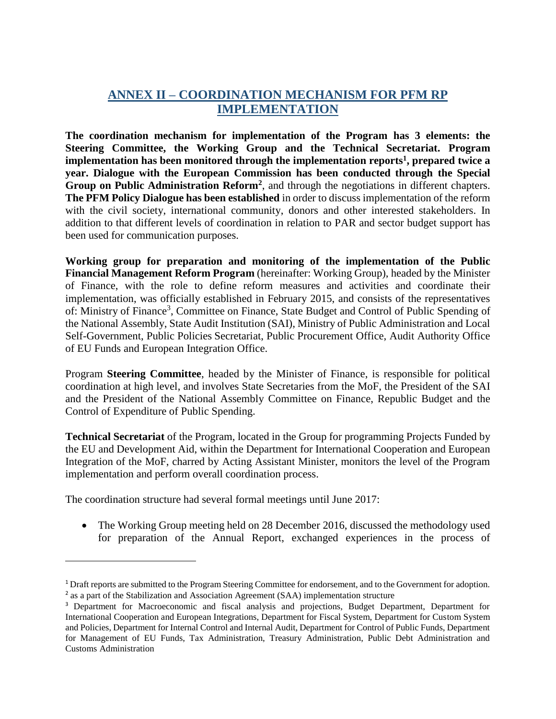## **ANNEX II – COORDINATION MECHANISM FOR PFM RP IMPLEMENTATION**

**The coordination mechanism for implementation of the Program has 3 elements: the Steering Committee, the Working Group and the Technical Secretariat. Program implementation has been monitored through the implementation reports<sup>1</sup> , prepared twice a year. Dialogue with the European Commission has been conducted through the Special**  Group on Public Administration Reform<sup>2</sup>, and through the negotiations in different chapters. **The PFM Policy Dialogue has been established** in order to discuss implementation of the reform with the civil society, international community, donors and other interested stakeholders. In addition to that different levels of coordination in relation to PAR and sector budget support has been used for communication purposes.

**Working group for preparation and monitoring of the implementation of the Public Financial Management Reform Program** (hereinafter: Working Group), headed by the Minister of Finance, with the role to define reform measures and activities and coordinate their implementation, was officially established in February 2015, and consists of the representatives of: Ministry of Finance<sup>3</sup>, Committee on Finance, State Budget and Control of Public Spending of the National Assembly, State Audit Institution (SAI), Ministry of Public Administration and Local Self-Government, Public Policies Secretariat, Public Procurement Office, Audit Authority Office of EU Funds and European Integration Office.

Program **Steering Committee**, headed by the Minister of Finance, is responsible for political coordination at high level, and involves State Secretaries from the MoF, the President of the SAI and the President of the National Assembly Committee on Finance, Republic Budget and the Control of Expenditure of Public Spending.

**Technical Secretariat** of the Program, located in the Group for programming Projects Funded by the EU and Development Aid, within the Department for International Cooperation and European Integration of the MoF, charred by Acting Assistant Minister, monitors the level of the Program implementation and perform overall coordination process.

The coordination structure had several formal meetings until June 2017:

 $\overline{\phantom{a}}$ 

• The Working Group meeting held on 28 December 2016, discussed the methodology used for preparation of the Annual Report, exchanged experiences in the process of

<sup>1</sup> Draft reports are submitted to the Program Steering Committee for endorsement, and to the Government for adoption. <sup>2</sup> as a part of the Stabilization and Association Agreement (SAA) implementation structure

<sup>&</sup>lt;sup>3</sup> Department for Macroeconomic and fiscal analysis and projections, Budget Department, Department for International Cooperation and European Integrations, Department for Fiscal System, Department for Custom System and Policies, Department for Internal Control and Internal Audit, Department for Control of Public Funds, Department for Management of EU Funds, Tax Administration, Treasury Administration, Public Debt Administration and Customs Administration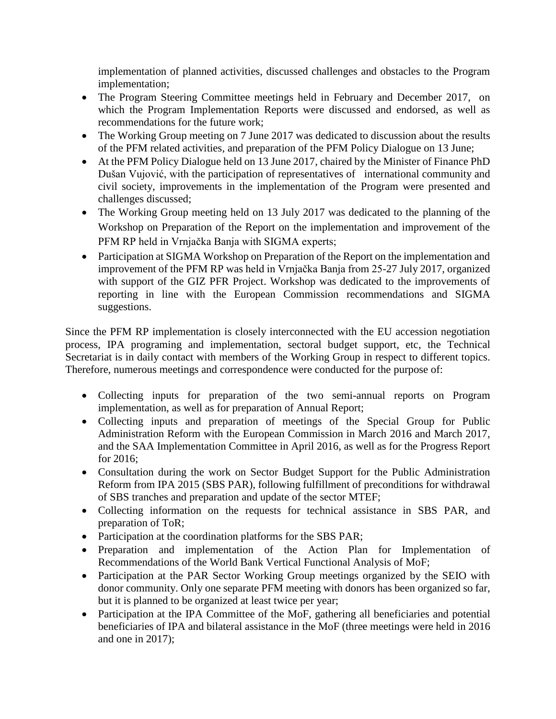implementation of planned activities, discussed challenges and obstacles to the Program implementation;

- The Program Steering Committee meetings held in February and December 2017, on which the Program Implementation Reports were discussed and endorsed, as well as recommendations for the future work;
- The Working Group meeting on 7 June 2017 was dedicated to discussion about the results of the PFM related activities, and preparation of the PFM Policy Dialogue on 13 June;
- At the PFM Policy Dialogue held on 13 June 2017, chaired by the Minister of Finance PhD Dušan Vujović, with the participation of representatives of international community and civil society, improvements in the implementation of the Program were presented and challenges discussed;
- The Working Group meeting held on 13 July 2017 was dedicated to the planning of the Workshop on Preparation of the Report on the implementation and improvement of the PFM RP held in Vrnjačka Banja with SIGMA experts;
- Participation at SIGMA Workshop on Preparation of the Report on the implementation and improvement of the PFM RP was held in Vrnjačka Banja from 25-27 July 2017, organized with support of the GIZ PFR Project. Workshop was dedicated to the improvements of reporting in line with the European Commission recommendations and SIGMA suggestions.

Since the PFM RP implementation is closely interconnected with the EU accession negotiation process, IPA programing and implementation, sectoral budget support, etc, the Technical Secretariat is in daily contact with members of the Working Group in respect to different topics. Therefore, numerous meetings and correspondence were conducted for the purpose of:

- Collecting inputs for preparation of the two semi-annual reports on Program implementation, as well as for preparation of Annual Report;
- Collecting inputs and preparation of meetings of the Special Group for Public Administration Reform with the European Commission in March 2016 and March 2017, and the SAA Implementation Committee in April 2016, as well as for the Progress Report for 2016;
- Consultation during the work on Sector Budget Support for the Public Administration Reform from IPA 2015 (SBS PAR), following fulfillment of preconditions for withdrawal of SBS tranches and preparation and update of the sector MTEF;
- Collecting information on the requests for technical assistance in SBS PAR, and preparation of ToR;
- Participation at the coordination platforms for the SBS PAR;
- Preparation and implementation of the Action Plan for Implementation of Recommendations of the World Bank Vertical Functional Analysis of MoF;
- Participation at the PAR Sector Working Group meetings organized by the SEIO with donor community. Only one separate PFM meeting with donors has been organized so far, but it is planned to be organized at least twice per year;
- Participation at the IPA Committee of the MoF, gathering all beneficiaries and potential beneficiaries of IPA and bilateral assistance in the MoF (three meetings were held in 2016 and one in 2017);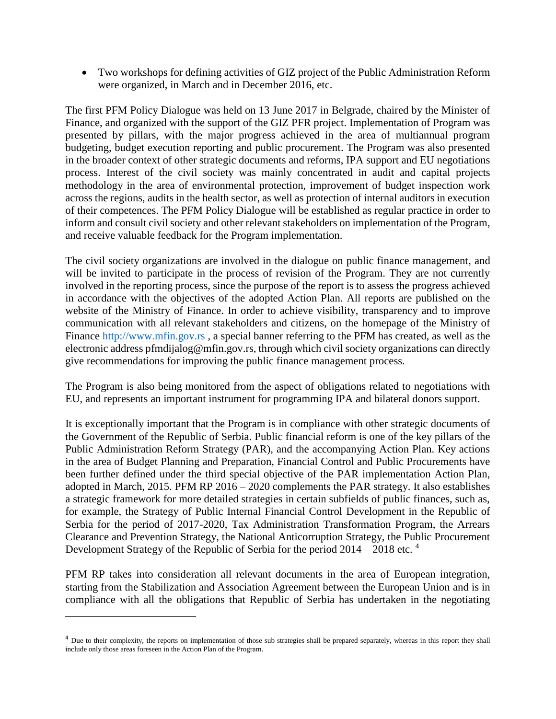Two workshops for defining activities of GIZ project of the Public Administration Reform were organized, in March and in December 2016, etc.

The first PFM Policy Dialogue was held on 13 June 2017 in Belgrade, chaired by the Minister of Finance, and organized with the support of the GIZ PFR project. Implementation of Program was presented by pillars, with the major progress achieved in the area of multiannual program budgeting, budget execution reporting and public procurement. The Program was also presented in the broader context of other strategic documents and reforms, IPA support and EU negotiations process. Interest of the civil society was mainly concentrated in audit and capital projects methodology in the area of environmental protection, improvement of budget inspection work across the regions, audits in the health sector, as well as protection of internal auditors in execution of their competences. The PFM Policy Dialogue will be established as regular practice in order to inform and consult civil society and other relevant stakeholders on implementation of the Program, and receive valuable feedback for the Program implementation.

The civil society organizations are involved in the dialogue on public finance management, and will be invited to participate in the process of revision of the Program. They are not currently involved in the reporting process, since the purpose of the report is to assess the progress achieved in accordance with the objectives of the adopted Action Plan. All reports are published on the website of the Ministry of Finance. In order to achieve visibility, transparency and to improve communication with all relevant stakeholders and citizens, on the homepage of the Ministry of Finance [http://www.mfin.gov.rs](http://www.mfin.gov.rs/) , a special banner referring to the PFM has created, as well as the electronic address pfmdijalog@mfin.gov.rs, through which civil society organizations can directly give recommendations for improving the public finance management process.

The Program is also being monitored from the aspect of obligations related to negotiations with EU, and represents an important instrument for programming IPA and bilateral donors support.

It is exceptionally important that the Program is in compliance with other strategic documents of the Government of the Republic of Serbia. Public financial reform is one of the key pillars of the Public Administration Reform Strategy (PAR), and the accompanying Action Plan. Key actions in the area of Budget Planning and Preparation, Financial Control and Public Procurements have been further defined under the third special objective of the PAR implementation Action Plan, adopted in March, 2015. PFM RP 2016 – 2020 complements the PAR strategy. It also establishes a strategic framework for more detailed strategies in certain subfields of public finances, such as, for example, the Strategy of Public Internal Financial Control Development in the Republic of Serbia for the period of 2017-2020, Tax Administration Transformation Program, the Arrears Clearance and Prevention Strategy, the National Anticorruption Strategy, the Public Procurement Development Strategy of the Republic of Serbia for the period 2014 – 2018 etc.<sup>4</sup>

PFM RP takes into consideration all relevant documents in the area of European integration, starting from the Stabilization and Association Agreement between the European Union and is in compliance with all the obligations that Republic of Serbia has undertaken in the negotiating

 $\overline{\phantom{a}}$ 

<sup>&</sup>lt;sup>4</sup> Due to their complexity, the reports on implementation of those sub strategies shall be prepared separately, whereas in this report they shall include only those areas foreseen in the Action Plan of the Program.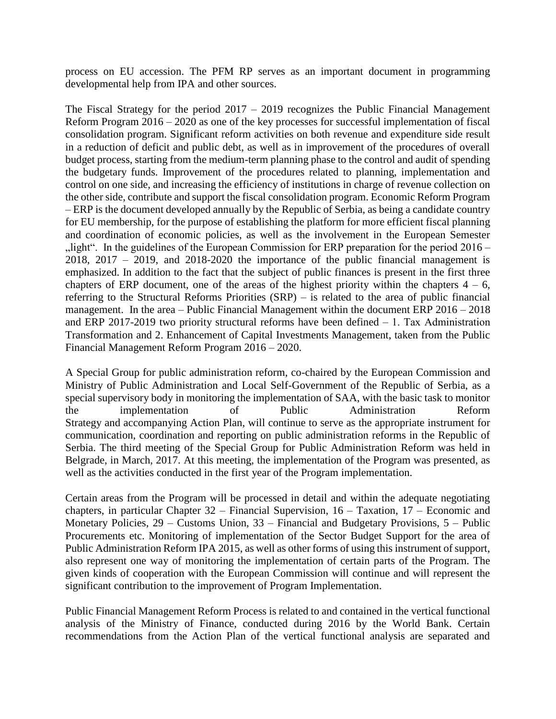process on EU accession. The PFM RP serves as an important document in programming developmental help from IPA and other sources.

The Fiscal Strategy for the period 2017 – 2019 recognizes the Public Financial Management Reform Program 2016 – 2020 as one of the key processes for successful implementation of fiscal consolidation program. Significant reform activities on both revenue and expenditure side result in a reduction of deficit and public debt, as well as in improvement of the procedures of overall budget process, starting from the medium-term planning phase to the control and audit of spending the budgetary funds. Improvement of the procedures related to planning, implementation and control on one side, and increasing the efficiency of institutions in charge of revenue collection on the other side, contribute and support the fiscal consolidation program. Economic Reform Program – ERP is the document developed annually by the Republic of Serbia, as being a candidate country for EU membership, for the purpose of establishing the platform for more efficient fiscal planning and coordination of economic policies, as well as the involvement in the European Semester  $n$ , light". In the guidelines of the European Commission for ERP preparation for the period 2016 –  $2018$ ,  $2017 - 2019$ , and  $2018-2020$  the importance of the public financial management is emphasized. In addition to the fact that the subject of public finances is present in the first three chapters of ERP document, one of the areas of the highest priority within the chapters  $4 - 6$ , referring to the Structural Reforms Priorities (SRP) – is related to the area of public financial management. In the area – Public Financial Management within the document ERP 2016 – 2018 and ERP 2017-2019 two priority structural reforms have been defined  $-1$ . Tax Administration Transformation and 2. Enhancement of Capital Investments Management, taken from the Public Financial Management Reform Program 2016 – 2020.

A Special Group for public administration reform, co-chaired by the European Commission and Ministry of Public Administration and Local Self-Government of the Republic of Serbia, as a special supervisory body in monitoring the implementation of SAA, with the basic task to monitor the implementation of Public Administration Reform Strategy and accompanying Action Plan, will continue to serve as the appropriate instrument for communication, coordination and reporting on public administration reforms in the Republic of Serbia. The third meeting of the Special Group for Public Administration Reform was held in Belgrade, in March, 2017. At this meeting, the implementation of the Program was presented, as well as the activities conducted in the first year of the Program implementation.

Certain areas from the Program will be processed in detail and within the adequate negotiating chapters, in particular Chapter 32 – Financial Supervision, 16 – Taxation, 17 – Economic and Monetary Policies, 29 – Customs Union, 33 – Financial and Budgetary Provisions, 5 – Public Procurements etc. Monitoring of implementation of the Sector Budget Support for the area of Public Administration Reform IPA 2015, as well as other forms of using this instrument of support, also represent one way of monitoring the implementation of certain parts of the Program. The given kinds of cooperation with the European Commission will continue and will represent the significant contribution to the improvement of Program Implementation.

Public Financial Management Reform Process is related to and contained in the vertical functional analysis of the Ministry of Finance, conducted during 2016 by the World Bank. Certain recommendations from the Action Plan of the vertical functional analysis are separated and